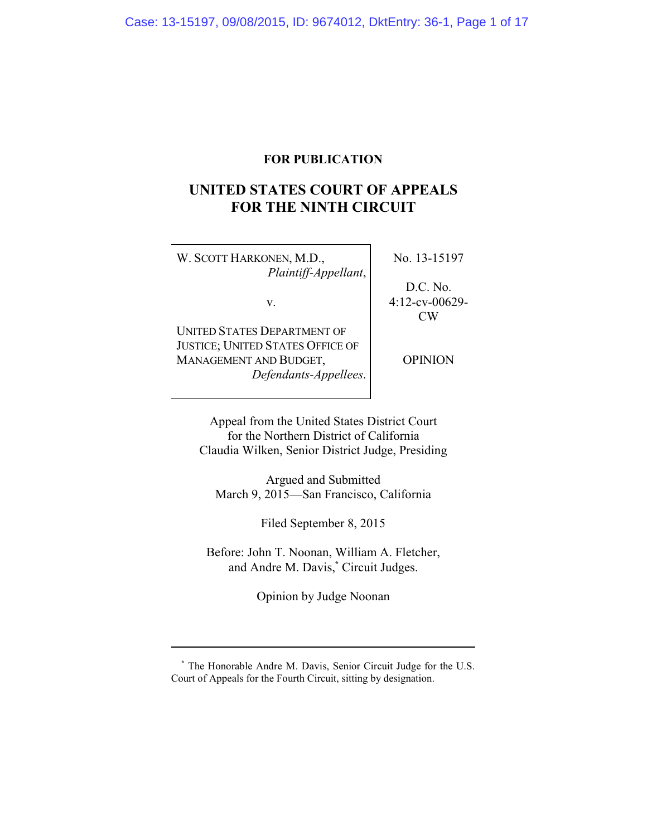# **FOR PUBLICATION**

# **UNITED STATES COURT OF APPEALS FOR THE NINTH CIRCUIT**

W. SCOTT HARKONEN, M.D., *Plaintiff-Appellant*, No. 13-15197

v.

D.C. No. 4:12-cv-00629- CW

UNITED STATES DEPARTMENT OF JUSTICE; UNITED STATES OFFICE OF MANAGEMENT AND BUDGET, *Defendants-Appellees*.

OPINION

Appeal from the United States District Court for the Northern District of California Claudia Wilken, Senior District Judge, Presiding

Argued and Submitted March 9, 2015—San Francisco, California

Filed September 8, 2015

Before: John T. Noonan, William A. Fletcher, and Andre M. Davis,**\*** Circuit Judges.

Opinion by Judge Noonan

**\*** The Honorable Andre M. Davis, Senior Circuit Judge for the U.S. Court of Appeals for the Fourth Circuit, sitting by designation.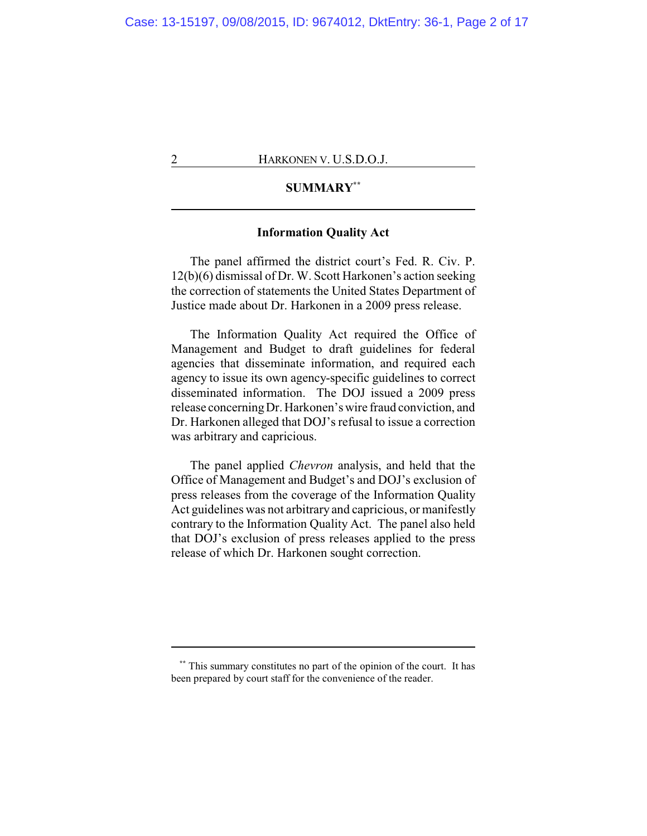# **SUMMARY\*\***

### **Information Quality Act**

The panel affirmed the district court's Fed. R. Civ. P. 12(b)(6) dismissal of Dr. W. Scott Harkonen's action seeking the correction of statements the United States Department of Justice made about Dr. Harkonen in a 2009 press release.

The Information Quality Act required the Office of Management and Budget to draft guidelines for federal agencies that disseminate information, and required each agency to issue its own agency-specific guidelines to correct disseminated information. The DOJ issued a 2009 press release concerningDr. Harkonen's wire fraud conviction, and Dr. Harkonen alleged that DOJ's refusal to issue a correction was arbitrary and capricious.

The panel applied *Chevron* analysis, and held that the Office of Management and Budget's and DOJ's exclusion of press releases from the coverage of the Information Quality Act guidelines was not arbitrary and capricious, or manifestly contrary to the Information Quality Act. The panel also held that DOJ's exclusion of press releases applied to the press release of which Dr. Harkonen sought correction.

**<sup>\*\*</sup>** This summary constitutes no part of the opinion of the court. It has been prepared by court staff for the convenience of the reader.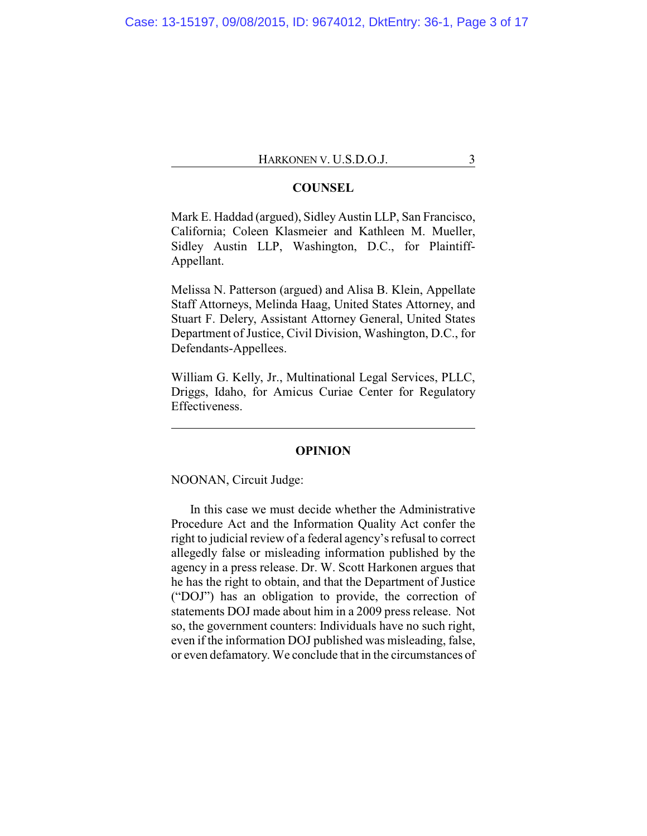## **COUNSEL**

Mark E. Haddad (argued), Sidley Austin LLP, San Francisco, California; Coleen Klasmeier and Kathleen M. Mueller, Sidley Austin LLP, Washington, D.C., for Plaintiff-Appellant.

Melissa N. Patterson (argued) and Alisa B. Klein, Appellate Staff Attorneys, Melinda Haag, United States Attorney, and Stuart F. Delery, Assistant Attorney General, United States Department of Justice, Civil Division, Washington, D.C., for Defendants-Appellees.

William G. Kelly, Jr., Multinational Legal Services, PLLC, Driggs, Idaho, for Amicus Curiae Center for Regulatory Effectiveness.

#### **OPINION**

NOONAN, Circuit Judge:

In this case we must decide whether the Administrative Procedure Act and the Information Quality Act confer the right to judicial review of a federal agency's refusal to correct allegedly false or misleading information published by the agency in a press release. Dr. W. Scott Harkonen argues that he has the right to obtain, and that the Department of Justice ("DOJ") has an obligation to provide, the correction of statements DOJ made about him in a 2009 press release. Not so, the government counters: Individuals have no such right, even if the information DOJ published was misleading, false, or even defamatory. We conclude that in the circumstances of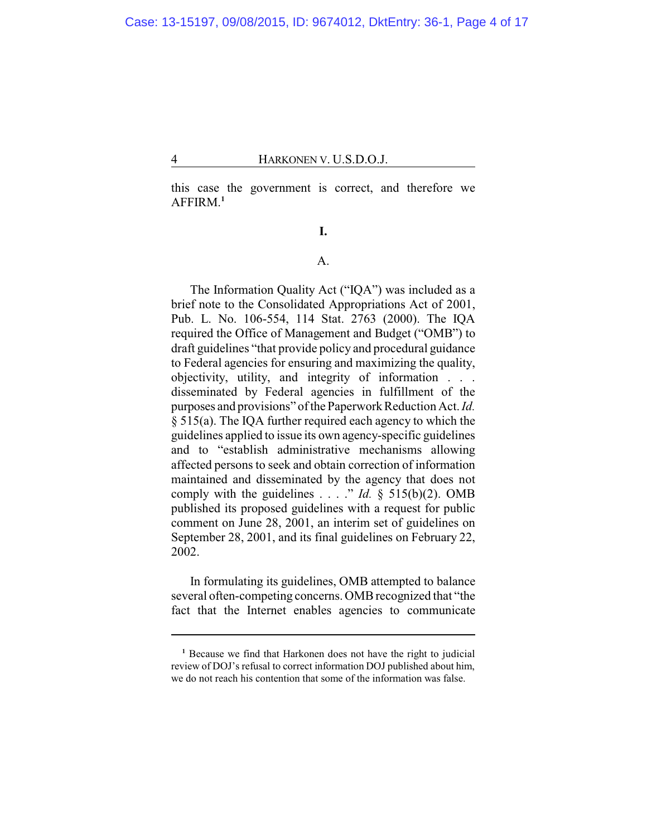this case the government is correct, and therefore we AFFIRM.**<sup>1</sup>**

**I.**

# A.

The Information Quality Act ("IQA") was included as a brief note to the Consolidated Appropriations Act of 2001, Pub. L. No. 106-554, 114 Stat. 2763 (2000). The IQA required the Office of Management and Budget ("OMB") to draft guidelines "that provide policy and procedural guidance to Federal agencies for ensuring and maximizing the quality, objectivity, utility, and integrity of information . . . disseminated by Federal agencies in fulfillment of the purposes and provisions" of the Paperwork Reduction Act. *Id.* § 515(a). The IQA further required each agency to which the guidelines applied to issue its own agency-specific guidelines and to "establish administrative mechanisms allowing affected persons to seek and obtain correction of information maintained and disseminated by the agency that does not comply with the guidelines  $\ldots$  " *Id.* § 515(b)(2). OMB published its proposed guidelines with a request for public comment on June 28, 2001, an interim set of guidelines on September 28, 2001, and its final guidelines on February 22, 2002.

In formulating its guidelines, OMB attempted to balance several often-competing concerns. OMB recognized that "the fact that the Internet enables agencies to communicate

**<sup>1</sup>** Because we find that Harkonen does not have the right to judicial review of DOJ's refusal to correct information DOJ published about him, we do not reach his contention that some of the information was false.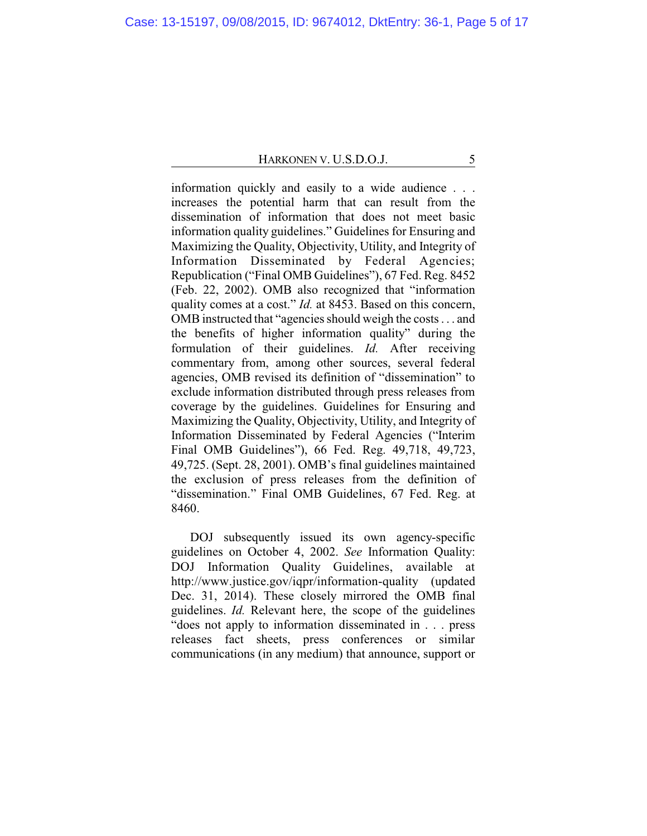information quickly and easily to a wide audience . . . increases the potential harm that can result from the dissemination of information that does not meet basic information quality guidelines." Guidelines for Ensuring and Maximizing the Quality, Objectivity, Utility, and Integrity of Information Disseminated by Federal Agencies; Republication ("Final OMB Guidelines"), 67 Fed. Reg. 8452 (Feb. 22, 2002). OMB also recognized that "information quality comes at a cost." *Id.* at 8453. Based on this concern, OMBinstructed that "agencies should weigh the costs . . . and the benefits of higher information quality" during the formulation of their guidelines. *Id.* After receiving commentary from, among other sources, several federal agencies, OMB revised its definition of "dissemination" to exclude information distributed through press releases from coverage by the guidelines. Guidelines for Ensuring and Maximizing the Quality, Objectivity, Utility, and Integrity of Information Disseminated by Federal Agencies ("Interim Final OMB Guidelines"), 66 Fed. Reg. 49,718, 49,723, 49,725. (Sept. 28, 2001). OMB's final guidelines maintained the exclusion of press releases from the definition of "dissemination." Final OMB Guidelines, 67 Fed. Reg. at 8460.

DOJ subsequently issued its own agency-specific guidelines on October 4, 2002. *See* Information Quality: DOJ Information Quality Guidelines, available at http://www.justice.gov/iqpr/information-quality (updated Dec. 31, 2014). These closely mirrored the OMB final guidelines. *Id.* Relevant here, the scope of the guidelines "does not apply to information disseminated in . . . press releases fact sheets, press conferences or similar communications (in any medium) that announce, support or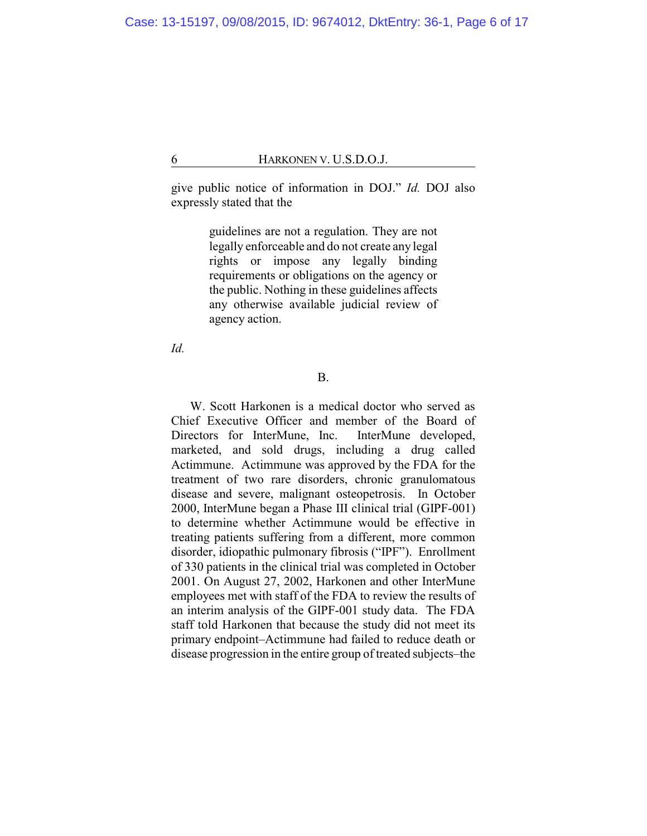give public notice of information in DOJ." *Id.* DOJ also expressly stated that the

> guidelines are not a regulation. They are not legally enforceable and do not create any legal rights or impose any legally binding requirements or obligations on the agency or the public. Nothing in these guidelines affects any otherwise available judicial review of agency action.

*Id.*

### B.

W. Scott Harkonen is a medical doctor who served as Chief Executive Officer and member of the Board of Directors for InterMune, Inc. InterMune developed, marketed, and sold drugs, including a drug called Actimmune. Actimmune was approved by the FDA for the treatment of two rare disorders, chronic granulomatous disease and severe, malignant osteopetrosis. In October 2000, InterMune began a Phase III clinical trial (GIPF-001) to determine whether Actimmune would be effective in treating patients suffering from a different, more common disorder, idiopathic pulmonary fibrosis ("IPF"). Enrollment of 330 patients in the clinical trial was completed in October 2001. On August 27, 2002, Harkonen and other InterMune employees met with staff of the FDA to review the results of an interim analysis of the GIPF-001 study data. The FDA staff told Harkonen that because the study did not meet its primary endpoint–Actimmune had failed to reduce death or disease progression in the entire group of treated subjects–the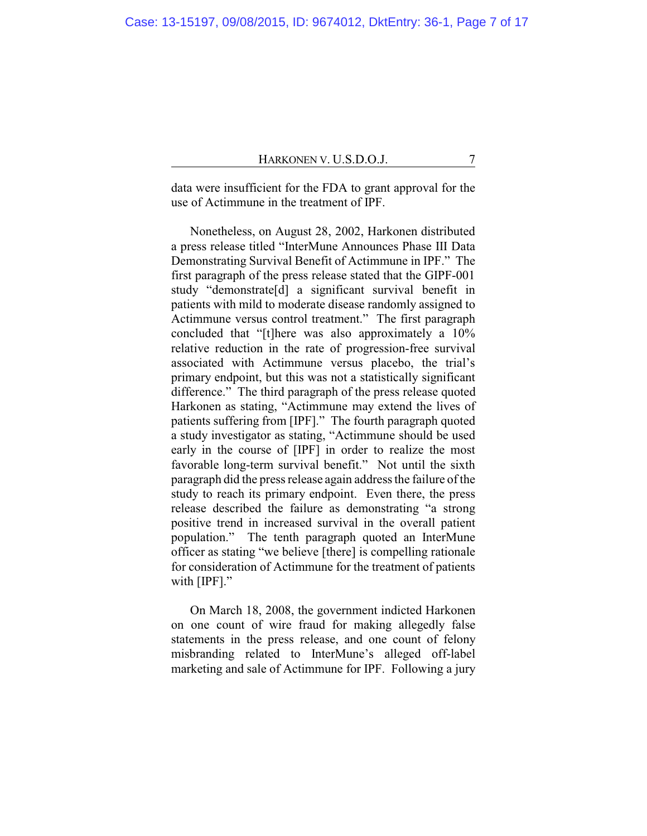data were insufficient for the FDA to grant approval for the use of Actimmune in the treatment of IPF.

Nonetheless, on August 28, 2002, Harkonen distributed a press release titled "InterMune Announces Phase III Data Demonstrating Survival Benefit of Actimmune in IPF." The first paragraph of the press release stated that the GIPF-001 study "demonstrate[d] a significant survival benefit in patients with mild to moderate disease randomly assigned to Actimmune versus control treatment." The first paragraph concluded that "[t]here was also approximately a 10% relative reduction in the rate of progression-free survival associated with Actimmune versus placebo, the trial's primary endpoint, but this was not a statistically significant difference." The third paragraph of the press release quoted Harkonen as stating, "Actimmune may extend the lives of patients suffering from [IPF]." The fourth paragraph quoted a study investigator as stating, "Actimmune should be used early in the course of [IPF] in order to realize the most favorable long-term survival benefit." Not until the sixth paragraph did the press release again address the failure of the study to reach its primary endpoint. Even there, the press release described the failure as demonstrating "a strong positive trend in increased survival in the overall patient population." The tenth paragraph quoted an InterMune officer as stating "we believe [there] is compelling rationale for consideration of Actimmune for the treatment of patients with [IPF]."

On March 18, 2008, the government indicted Harkonen on one count of wire fraud for making allegedly false statements in the press release, and one count of felony misbranding related to InterMune's alleged off-label marketing and sale of Actimmune for IPF. Following a jury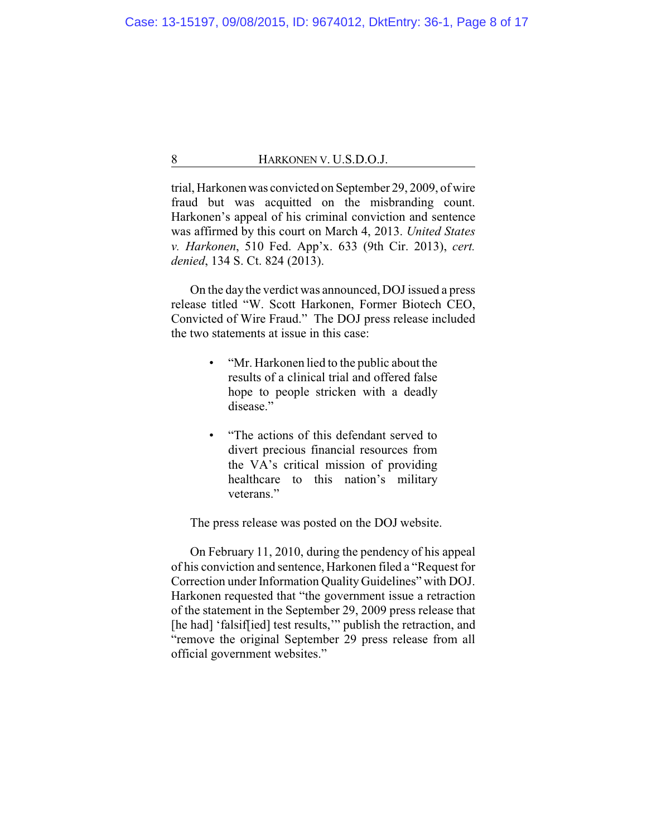trial, Harkonen was convicted on September 29, 2009, of wire fraud but was acquitted on the misbranding count. Harkonen's appeal of his criminal conviction and sentence was affirmed by this court on March 4, 2013. *United States v. Harkonen*, 510 Fed. App'x. 633 (9th Cir. 2013), *cert. denied*, 134 S. Ct. 824 (2013).

On the day the verdict was announced, DOJ issued a press release titled "W. Scott Harkonen, Former Biotech CEO, Convicted of Wire Fraud." The DOJ press release included the two statements at issue in this case:

- "Mr. Harkonen lied to the public about the results of a clinical trial and offered false hope to people stricken with a deadly disease."
- "The actions of this defendant served to divert precious financial resources from the VA's critical mission of providing healthcare to this nation's military veterans."

The press release was posted on the DOJ website.

On February 11, 2010, during the pendency of his appeal of his conviction and sentence, Harkonen filed a "Request for Correction under Information Quality Guidelines" with DOJ. Harkonen requested that "the government issue a retraction of the statement in the September 29, 2009 press release that [he had] 'falsif[ied] test results," publish the retraction, and "remove the original September 29 press release from all official government websites."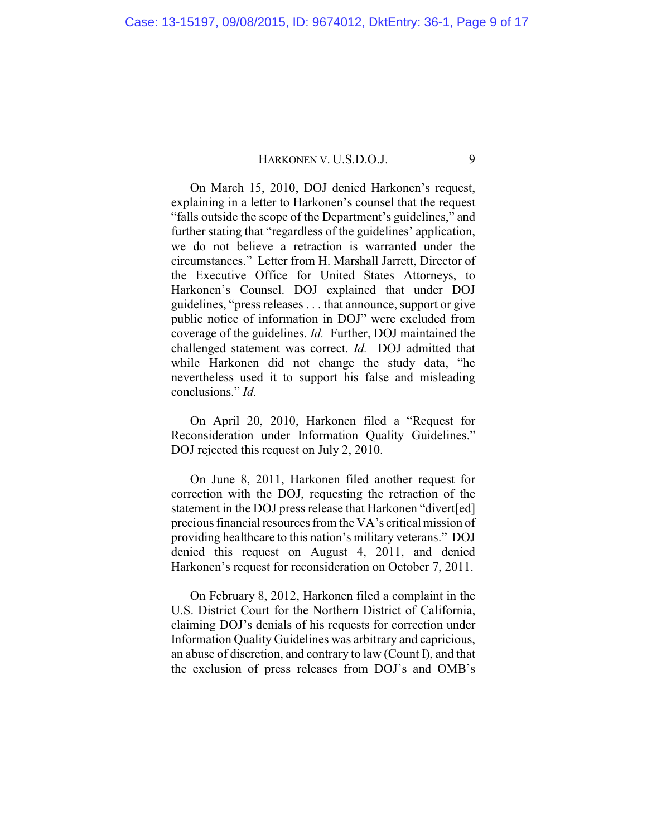On March 15, 2010, DOJ denied Harkonen's request, explaining in a letter to Harkonen's counsel that the request "falls outside the scope of the Department's guidelines," and further stating that "regardless of the guidelines' application, we do not believe a retraction is warranted under the circumstances." Letter from H. Marshall Jarrett, Director of the Executive Office for United States Attorneys, to Harkonen's Counsel. DOJ explained that under DOJ guidelines, "press releases . . . that announce, support or give public notice of information in DOJ" were excluded from coverage of the guidelines. *Id.* Further, DOJ maintained the challenged statement was correct. *Id.* DOJ admitted that while Harkonen did not change the study data, "he nevertheless used it to support his false and misleading conclusions." *Id.*

On April 20, 2010, Harkonen filed a "Request for Reconsideration under Information Quality Guidelines." DOJ rejected this request on July 2, 2010.

On June 8, 2011, Harkonen filed another request for correction with the DOJ, requesting the retraction of the statement in the DOJ press release that Harkonen "divert[ed] precious financial resources from the VA's critical mission of providing healthcare to this nation's military veterans." DOJ denied this request on August 4, 2011, and denied Harkonen's request for reconsideration on October 7, 2011.

On February 8, 2012, Harkonen filed a complaint in the U.S. District Court for the Northern District of California, claiming DOJ's denials of his requests for correction under Information Quality Guidelines was arbitrary and capricious, an abuse of discretion, and contrary to law (Count I), and that the exclusion of press releases from DOJ's and OMB's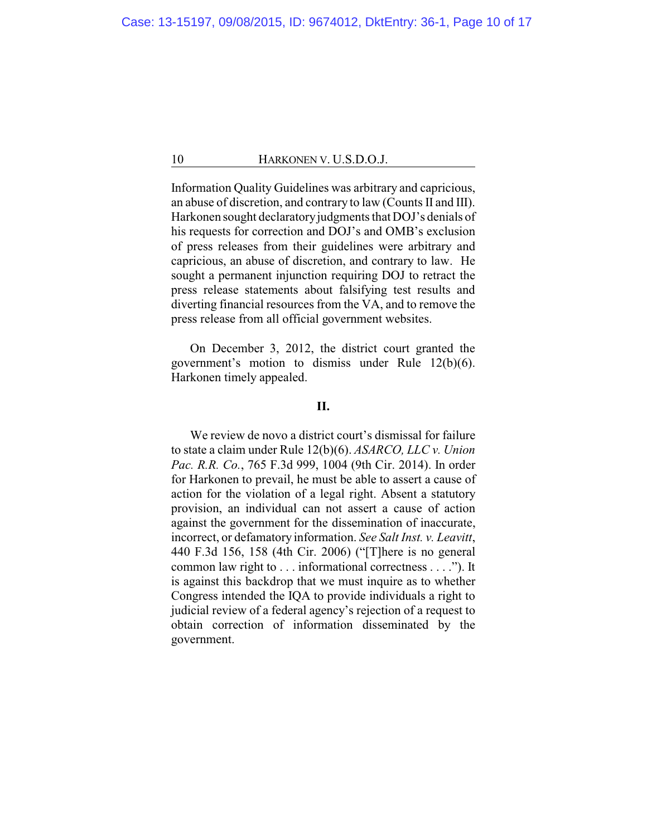Information Quality Guidelines was arbitrary and capricious, an abuse of discretion, and contrary to law (Counts II and III). Harkonen sought declaratory judgments that DOJ's denials of his requests for correction and DOJ's and OMB's exclusion of press releases from their guidelines were arbitrary and capricious, an abuse of discretion, and contrary to law. He sought a permanent injunction requiring DOJ to retract the press release statements about falsifying test results and diverting financial resources from the VA, and to remove the press release from all official government websites.

On December 3, 2012, the district court granted the government's motion to dismiss under Rule 12(b)(6). Harkonen timely appealed.

# **II.**

We review de novo a district court's dismissal for failure to state a claim under Rule 12(b)(6). *ASARCO, LLC v. Union Pac. R.R. Co.*, 765 F.3d 999, 1004 (9th Cir. 2014). In order for Harkonen to prevail, he must be able to assert a cause of action for the violation of a legal right. Absent a statutory provision, an individual can not assert a cause of action against the government for the dissemination of inaccurate, incorrect, or defamatory information. *See Salt Inst. v. Leavitt*, 440 F.3d 156, 158 (4th Cir. 2006) ("[T]here is no general common law right to . . . informational correctness . . . ."). It is against this backdrop that we must inquire as to whether Congress intended the IQA to provide individuals a right to judicial review of a federal agency's rejection of a request to obtain correction of information disseminated by the government.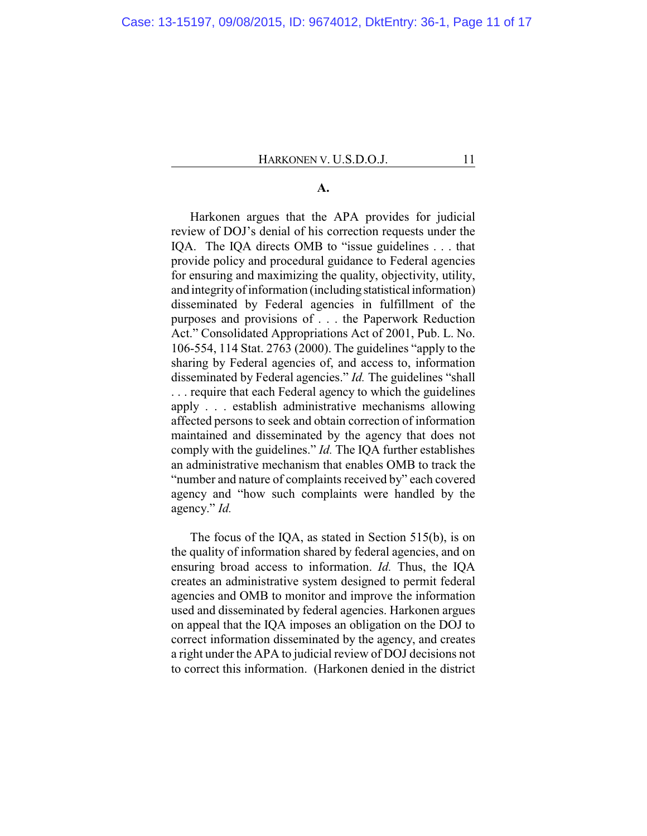### **A.**

Harkonen argues that the APA provides for judicial review of DOJ's denial of his correction requests under the IQA. The IQA directs OMB to "issue guidelines . . . that provide policy and procedural guidance to Federal agencies for ensuring and maximizing the quality, objectivity, utility, and integrityof information (including statistical information) disseminated by Federal agencies in fulfillment of the purposes and provisions of . . . the Paperwork Reduction Act." Consolidated Appropriations Act of 2001, Pub. L. No. 106-554, 114 Stat. 2763 (2000). The guidelines "apply to the sharing by Federal agencies of, and access to, information disseminated by Federal agencies." *Id.* The guidelines "shall . . . require that each Federal agency to which the guidelines apply . . . establish administrative mechanisms allowing affected persons to seek and obtain correction of information maintained and disseminated by the agency that does not comply with the guidelines." *Id.* The IQA further establishes an administrative mechanism that enables OMB to track the "number and nature of complaints received by" each covered agency and "how such complaints were handled by the agency." *Id.*

The focus of the IQA, as stated in Section 515(b), is on the quality of information shared by federal agencies, and on ensuring broad access to information. *Id.* Thus, the IQA creates an administrative system designed to permit federal agencies and OMB to monitor and improve the information used and disseminated by federal agencies. Harkonen argues on appeal that the IQA imposes an obligation on the DOJ to correct information disseminated by the agency, and creates a right under the APA to judicial review of DOJ decisions not to correct this information. (Harkonen denied in the district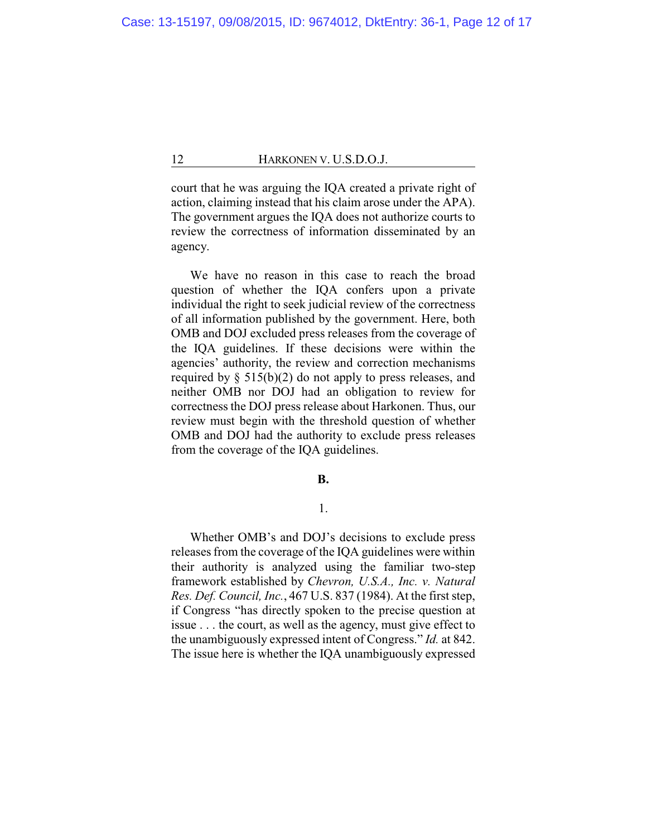court that he was arguing the IQA created a private right of action, claiming instead that his claim arose under the APA). The government argues the IQA does not authorize courts to review the correctness of information disseminated by an agency.

We have no reason in this case to reach the broad question of whether the IQA confers upon a private individual the right to seek judicial review of the correctness of all information published by the government. Here, both OMB and DOJ excluded press releases from the coverage of the IQA guidelines. If these decisions were within the agencies' authority, the review and correction mechanisms required by  $\S$  515(b)(2) do not apply to press releases, and neither OMB nor DOJ had an obligation to review for correctness the DOJ press release about Harkonen. Thus, our review must begin with the threshold question of whether OMB and DOJ had the authority to exclude press releases from the coverage of the IQA guidelines.

#### **B.**

# 1.

Whether OMB's and DOJ's decisions to exclude press releases from the coverage of the IQA guidelines were within their authority is analyzed using the familiar two-step framework established by *Chevron, U.S.A., Inc. v. Natural Res. Def. Council, Inc.*, 467 U.S. 837 (1984). At the first step, if Congress "has directly spoken to the precise question at issue . . . the court, as well as the agency, must give effect to the unambiguously expressed intent of Congress." *Id.* at 842. The issue here is whether the IQA unambiguously expressed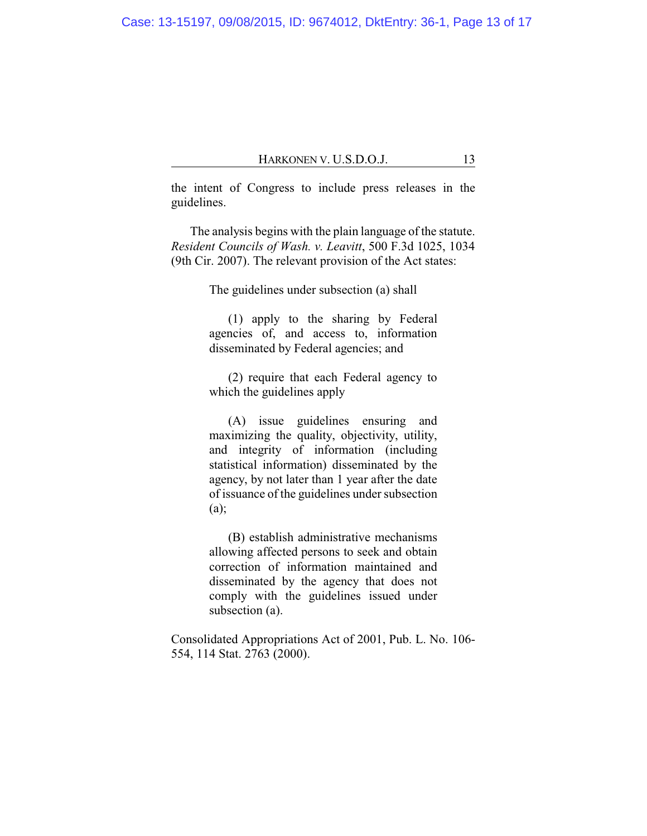the intent of Congress to include press releases in the guidelines.

The analysis begins with the plain language of the statute. *Resident Councils of Wash. v. Leavitt*, 500 F.3d 1025, 1034 (9th Cir. 2007). The relevant provision of the Act states:

The guidelines under subsection (a) shall

(1) apply to the sharing by Federal agencies of, and access to, information disseminated by Federal agencies; and

(2) require that each Federal agency to which the guidelines apply

(A) issue guidelines ensuring and maximizing the quality, objectivity, utility, and integrity of information (including statistical information) disseminated by the agency, by not later than 1 year after the date of issuance of the guidelines under subsection (a);

(B) establish administrative mechanisms allowing affected persons to seek and obtain correction of information maintained and disseminated by the agency that does not comply with the guidelines issued under subsection (a).

Consolidated Appropriations Act of 2001, Pub. L. No. 106- 554, 114 Stat. 2763 (2000).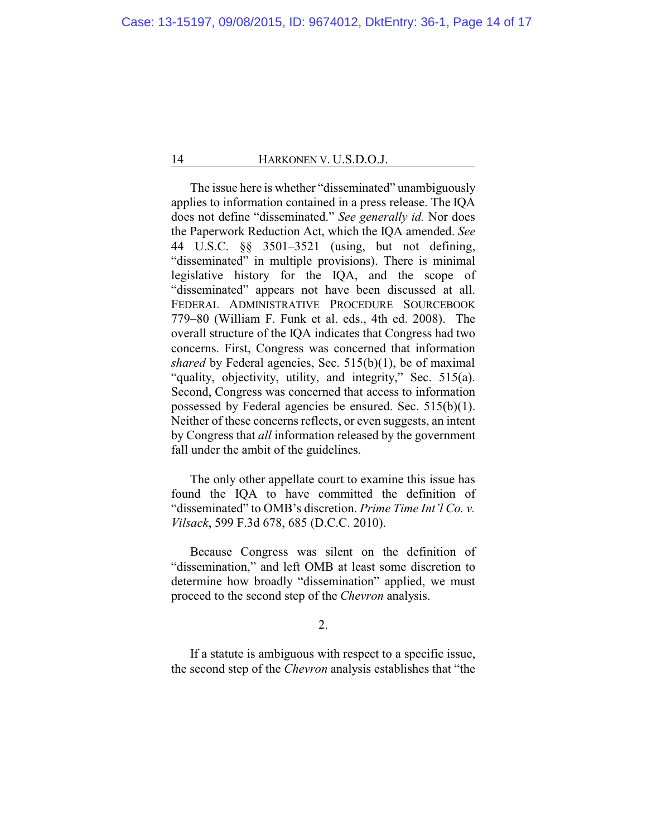The issue here is whether "disseminated" unambiguously applies to information contained in a press release. The IQA does not define "disseminated." *See generally id.* Nor does the Paperwork Reduction Act, which the IQA amended. *See* 44 U.S.C. §§ 3501–3521 (using, but not defining, "disseminated" in multiple provisions). There is minimal legislative history for the IQA, and the scope of "disseminated" appears not have been discussed at all. FEDERAL ADMINISTRATIVE PROCEDURE SOURCEBOOK 779–80 (William F. Funk et al. eds., 4th ed. 2008). The overall structure of the IQA indicates that Congress had two concerns. First, Congress was concerned that information *shared* by Federal agencies, Sec. 515(b)(1), be of maximal "quality, objectivity, utility, and integrity," Sec. 515(a). Second, Congress was concerned that access to information possessed by Federal agencies be ensured. Sec. 515(b)(1). Neither of these concerns reflects, or even suggests, an intent by Congress that *all* information released by the government fall under the ambit of the guidelines.

The only other appellate court to examine this issue has found the IQA to have committed the definition of "disseminated" to OMB's discretion. *Prime Time Int'l Co. v. Vilsack*, 599 F.3d 678, 685 (D.C.C. 2010).

Because Congress was silent on the definition of "dissemination," and left OMB at least some discretion to determine how broadly "dissemination" applied, we must proceed to the second step of the *Chevron* analysis.

2.

If a statute is ambiguous with respect to a specific issue, the second step of the *Chevron* analysis establishes that "the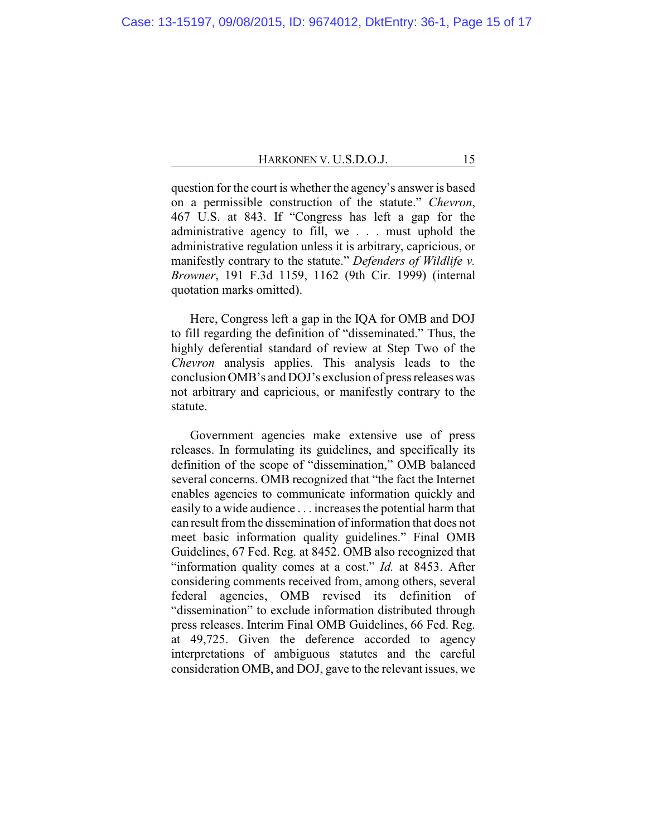question for the court is whether the agency's answer is based on a permissible construction of the statute." *Chevron*, 467 U.S. at 843. If "Congress has left a gap for the administrative agency to fill, we . . . must uphold the administrative regulation unless it is arbitrary, capricious, or manifestly contrary to the statute." *Defenders of Wildlife v. Browner*, 191 F.3d 1159, 1162 (9th Cir. 1999) (internal quotation marks omitted).

Here, Congress left a gap in the IQA for OMB and DOJ to fill regarding the definition of "disseminated." Thus, the highly deferential standard of review at Step Two of the *Chevron* analysis applies. This analysis leads to the conclusion OMB's and DOJ's exclusion of press releases was not arbitrary and capricious, or manifestly contrary to the statute.

Government agencies make extensive use of press releases. In formulating its guidelines, and specifically its definition of the scope of "dissemination," OMB balanced several concerns. OMB recognized that "the fact the Internet enables agencies to communicate information quickly and easily to a wide audience . . . increases the potential harm that can result from the dissemination of information that does not meet basic information quality guidelines." Final OMB Guidelines, 67 Fed. Reg. at 8452. OMB also recognized that "information quality comes at a cost." *Id.* at 8453. After considering comments received from, among others, several federal agencies, OMB revised its definition of "dissemination" to exclude information distributed through press releases. Interim Final OMB Guidelines, 66 Fed. Reg. at 49,725. Given the deference accorded to agency interpretations of ambiguous statutes and the careful consideration OMB, and DOJ, gave to the relevant issues, we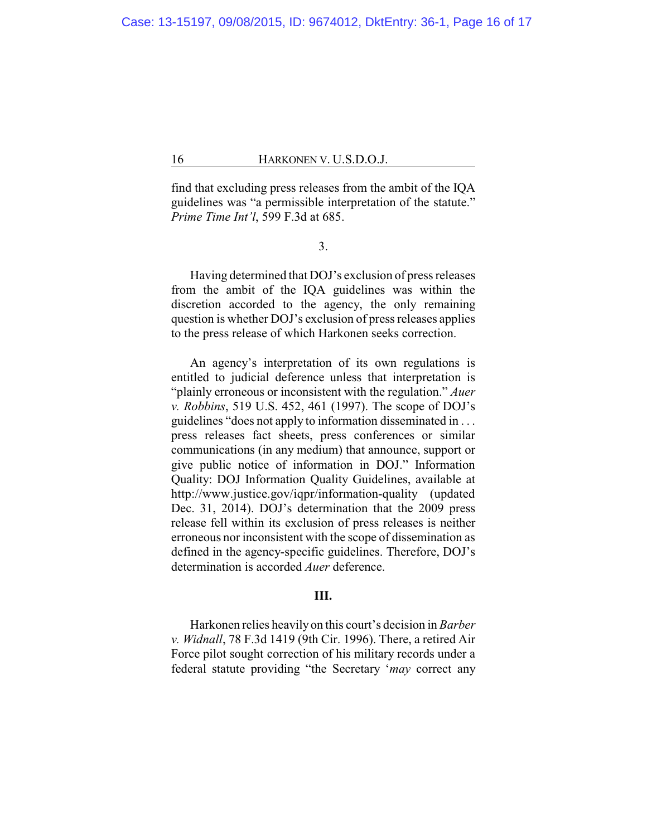find that excluding press releases from the ambit of the IQA guidelines was "a permissible interpretation of the statute." *Prime Time Int'l*, 599 F.3d at 685.

3.

Having determined that DOJ's exclusion of press releases from the ambit of the IQA guidelines was within the discretion accorded to the agency, the only remaining question is whether DOJ's exclusion of press releases applies to the press release of which Harkonen seeks correction.

An agency's interpretation of its own regulations is entitled to judicial deference unless that interpretation is "plainly erroneous or inconsistent with the regulation." *Auer v. Robbins*, 519 U.S. 452, 461 (1997). The scope of DOJ's guidelines "does not apply to information disseminated in . . . press releases fact sheets, press conferences or similar communications (in any medium) that announce, support or give public notice of information in DOJ." Information Quality: DOJ Information Quality Guidelines, available at http://www.justice.gov/iqpr/information-quality (updated Dec. 31, 2014). DOJ's determination that the 2009 press release fell within its exclusion of press releases is neither erroneous nor inconsistent with the scope of dissemination as defined in the agency-specific guidelines. Therefore, DOJ's determination is accorded *Auer* deference.

## **III.**

Harkonen relies heavily on this court's decision in *Barber v. Widnall*, 78 F.3d 1419 (9th Cir. 1996). There, a retired Air Force pilot sought correction of his military records under a federal statute providing "the Secretary '*may* correct any